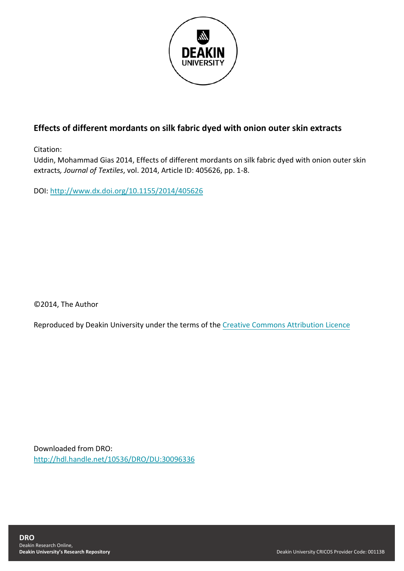

# **Effects of different mordants on silk fabric dyed with onion outer skin extracts**

Citation:

Uddin, Mohammad Gias 2014, Effects of different mordants on silk fabric dyed with onion outer skin extracts*, Journal of Textiles*, vol. 2014, Article ID: 405626, pp. 1-8.

DOI:<http://www.dx.doi.org/10.1155/2014/405626>

©2014, The Author

Reproduced by Deakin University under the terms of the [Creative Commons Attribution Licence](https://creativecommons.org/licenses/by/3.0/)

Downloaded from DRO: <http://hdl.handle.net/10536/DRO/DU:30096336>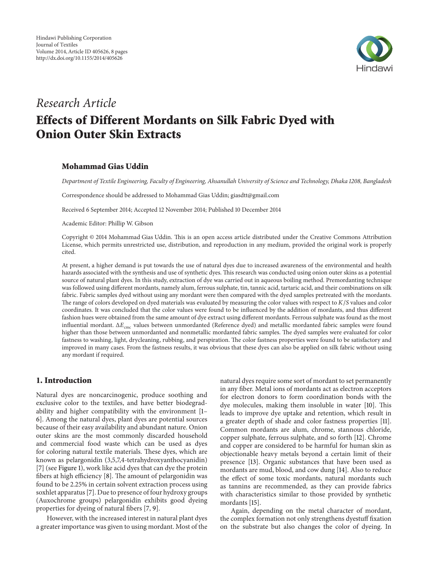

# *Research Article* **Effects of Different Mordants on Silk Fabric Dyed with Onion Outer Skin Extracts**

# **Mohammad Gias Uddin**

*Department of Textile Engineering, Faculty of Engineering, Ahsanullah University of Science and Technology, Dhaka 1208, Bangladesh*

Correspondence should be addressed to Mohammad Gias Uddin; giasdtt@gmail.com

Received 6 September 2014; Accepted 12 November 2014; Published 10 December 2014

Academic Editor: Phillip W. Gibson

Copyright © 2014 Mohammad Gias Uddin. This is an open access article distributed under the Creative Commons Attribution License, which permits unrestricted use, distribution, and reproduction in any medium, provided the original work is properly cited.

At present, a higher demand is put towards the use of natural dyes due to increased awareness of the environmental and health hazards associated with the synthesis and use of synthetic dyes. This research was conducted using onion outer skins as a potential source of natural plant dyes. In this study, extraction of dye was carried out in aqueous boiling method. Premordanting technique was followed using different mordants, namely alum, ferrous sulphate, tin, tannic acid, tartaric acid, and their combinations on silk fabric. Fabric samples dyed without using any mordant were then compared with the dyed samples pretreated with the mordants. The range of colors developed on dyed materials was evaluated by measuring the color values with respect to  $K/S$  values and color coordinates. It was concluded that the color values were found to be influenced by the addition of mordants, and thus different fashion hues were obtained from the same amount of dye extract using different mordants. Ferrous sulphate was found as the most influential mordant.  $\Delta E_{cmc}$  values between unmordanted (Reference dyed) and metallic mordanted fabric samples were found higher than those between unmordanted and nonmetallic mordanted fabric samples. The dyed samples were evaluated for color fastness to washing, light, drycleaning, rubbing, and perspiration. The color fastness properties were found to be satisfactory and improved in many cases. From the fastness results, it was obvious that these dyes can also be applied on silk fabric without using any mordant if required.

# **1. Introduction**

Natural dyes are noncarcinogenic, produce soothing and exclusive color to the textiles, and have better biodegradability and higher compatibility with the environment [1– 6]. Among the natural dyes, plant dyes are potential sources because of their easy availability and abundant nature. Onion outer skins are the most commonly discarded household and commercial food waste which can be used as dyes for coloring natural textile materials. These dyes, which are known as pelargonidin (3,5,7,4-tetrahydroxyanthocyanidin) [7] (see Figure 1), work like acid dyes that can dye the protein fibers at high efficiency [8]. The amount of pelargonidin was found to be 2.25% in certain solvent extraction process using soxhlet apparatus [7]. Due to presence of four hydroxy groups (Auxochrome groups) pelargonidin exhibits good dyeing properties for dyeing of natural fibers [7, 9].

However, with the increased interest in natural plant dyes a greater importance was given to using mordant. Most of the

natural dyes require some sort of mordant to set permanently in any fiber. Metal ions of mordants act as electron acceptors for electron donors to form coordination bonds with the dye molecules, making them insoluble in water [10]. This leads to improve dye uptake and retention, which result in a greater depth of shade and color fastness properties [11]. Common mordants are alum, chrome, stannous chloride, copper sulphate, ferrous sulphate, and so forth [12]. Chrome and copper are considered to be harmful for human skin as objectionable heavy metals beyond a certain limit of their presence [13]. Organic substances that have been used as mordants are mud, blood, and cow dung [14]. Also to reduce the effect of some toxic mordants, natural mordants such as tannins are recommended, as they can provide fabrics with characteristics similar to those provided by synthetic mordants [15].

Again, depending on the metal character of mordant, the complex formation not only strengthens dyestuff fixation on the substrate but also changes the color of dyeing. In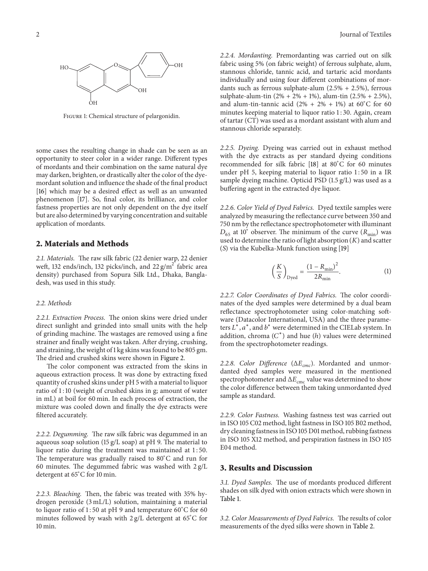

FIGURE 1: Chemical structure of pelargonidin.

some cases the resulting change in shade can be seen as an opportunity to steer color in a wider range. Different types of mordants and their combination on the same natural dye may darken, brighten, or drastically alter the color of the dyemordant solution and influence the shade of the final product [16] which may be a desired effect as well as an unwanted phenomenon [17]. So, final color, its brilliance, and color fastness properties are not only dependent on the dye itself but are also determined by varying concentration and suitable application of mordants.

# **2. Materials and Methods**

*2.1. Materials.* The raw silk fabric (22 denier warp, 22 denier weft, 132 ends/inch, 132 picks/inch, and  $22 \text{ g/m}^2$  fabric area density) purchased from Sopura Silk Ltd., Dhaka, Bangladesh, was used in this study.

#### *2.2. Methods*

*2.2.1. Extraction Process.* The onion skins were dried under direct sunlight and grinded into small units with the help of grinding machine. The wastages are removed using a fine strainer and finally weight was taken. After drying, crushing, and straining, the weight of 1 kg skins was found to be 805 gm. The dried and crushed skins were shown in Figure 2.

The color component was extracted from the skins in aqueous extraction process. It was done by extracting fixed quantity of crushed skins under pH 5 with a material to liquor ratio of 1:10 (weight of crushed skins in g; amount of water in mL) at boil for 60 min. In each process of extraction, the mixture was cooled down and finally the dye extracts were filtered accurately.

*2.2.2. Degumming.* The raw silk fabric was degummed in an aqueous soap solution (15 g/L soap) at pH 9. The material to liquor ratio during the treatment was maintained at 1:50. The temperature was gradually raised to 80<sup>∘</sup> C and run for 60 minutes. The degummed fabric was washed with 2 g/L detergent at 65<sup>∘</sup> C for 10 min.

*2.2.3. Bleaching.* Then, the fabric was treated with 35% hydrogen peroxide (3 mL/L) solution, maintaining a material to liquor ratio of 1 : 50 at pH 9 and temperature 60<sup>∘</sup> C for 60 minutes followed by wash with 2 g/L detergent at 65<sup>∘</sup> C for 10 min.

*2.2.4. Mordanting.* Premordanting was carried out on silk fabric using 5% (on fabric weight) of ferrous sulphate, alum, stannous chloride, tannic acid, and tartaric acid mordants individually and using four different combinations of mordants such as ferrous sulphate-alum (2.5% + 2.5%), ferrous sulphate-alum-tin (2% + 2% + 1%), alum-tin (2.5% + 2.5%), and alum-tin-tannic acid ( $2\% + 2\% + 1\%$ ) at 60°C for 60 minutes keeping material to liquor ratio 1:30. Again, cream of tartar (CT) was used as a mordant assistant with alum and stannous chloride separately.

*2.2.5. Dyeing.* Dyeing was carried out in exhaust method with the dye extracts as per standard dyeing conditions recommended for silk fabric [18] at 80<sup>∘</sup> C for 60 minutes under pH 5, keeping material to liquor ratio 1:50 in a IR sample dyeing machine. Opticid PSD (1.5 g/L) was used as a buffering agent in the extracted dye liquor.

*2.2.6. Color Yield of Dyed Fabrics.* Dyed textile samples were analyzed by measuring the reflectance curve between 350 and 750 nm by the reflectance spectrophotometer with illuminant  $D_{65}$  at 10° observer. The minimum of the curve ( $R_{\text{min}}$ ) was used to determine the ratio of light absorption  $(K)$  and scatter  $(S)$  via the Kubelka-Munk function using [19]

$$
\left(\frac{K}{S}\right)_{\text{Dyed}} = \frac{\left(1 - R_{\text{min}}\right)^2}{2R_{\text{min}}}.
$$
 (1)

*2.2.7. Color Coordinates of Dyed Fabrics.* The color coordinates of the dyed samples were determined by a dual beam reflectance spectrophotometer using color-matching software (Datacolor International, USA) and the three parameters  $L^*, a^*$ , and  $b^*$  were determined in the CIELab system. In addition, chroma  $(C^*)$  and hue  $(h)$  values were determined from the spectrophotometer readings.

2.2.8. Color Difference (Δ $E<sub>cmc</sub>$ ). Mordanted and unmordanted dyed samples were measured in the mentioned spectrophotometer and  $\Delta E_{\rm cmc}$  value was determined to show the color difference between them taking unmordanted dyed sample as standard.

*2.2.9. Color Fastness.* Washing fastness test was carried out in ISO 105 C02 method, light fastness in ISO 105 B02 method, dry cleaning fastness in ISO 105 D01 method, rubbing fastness in ISO 105 X12 method, and perspiration fastness in ISO 105 E04 method.

#### **3. Results and Discussion**

*3.1. Dyed Samples.* The use of mordants produced different shades on silk dyed with onion extracts which were shown in Table 1.

*3.2. Color Measurements of Dyed Fabrics.* The results of color measurements of the dyed silks were shown in Table 2.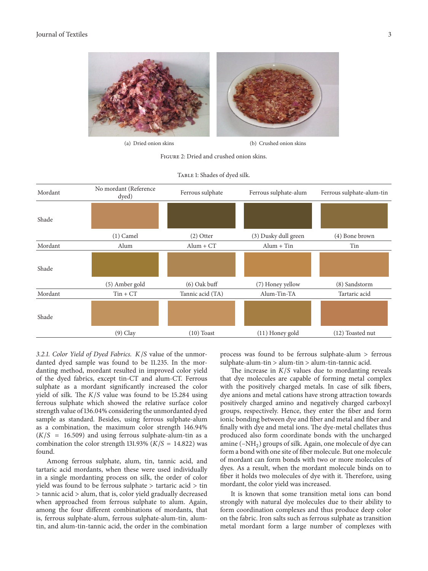#### Journal of Textiles 3



(a) Dried onion skins (b) Crushed onion skins

Figure 2: Dried and crushed onion skins.



#### TABLE 1: Shades of dyed silk.

3.2.1. Color Yield of Dyed Fabrics. K/S value of the unmordanted dyed sample was found to be 11.235. In the mordanting method, mordant resulted in improved color yield of the dyed fabrics, except tin-CT and alum-CT. Ferrous sulphate as a mordant significantly increased the color yield of silk. The  $K/S$  value was found to be 15.284 using ferrous sulphate which showed the relative surface color strength value of 136.04% considering the unmordanted dyed sample as standard. Besides, using ferrous sulphate-alum as a combination, the maximum color strength 146.94%  $(K/S = 16.509)$  and using ferrous sulphate-alum-tin as a combination the color strength 131.93% ( $K/S = 14.822$ ) was found.

Among ferrous sulphate, alum, tin, tannic acid, and tartaric acid mordants, when these were used individually in a single mordanting process on silk, the order of color yield was found to be ferrous sulphate > tartaric acid > tin > tannic acid > alum, that is, color yield gradually decreased when approached from ferrous sulphate to alum. Again, among the four different combinations of mordants, that is, ferrous sulphate-alum, ferrous sulphate-alum-tin, alumtin, and alum-tin-tannic acid, the order in the combination

process was found to be ferrous sulphate-alum > ferrous sulphate-alum-tin > alum-tin > alum-tin-tannic acid.

The increase in  $K/S$  values due to mordanting reveals that dye molecules are capable of forming metal complex with the positively charged metals. In case of silk fibers, dye anions and metal cations have strong attraction towards positively charged amino and negatively charged carboxyl groups, respectively. Hence, they enter the fiber and form ionic bonding between dye and fiber and metal and fiber and finally with dye and metal ions. The dye-metal chellates thus produced also form coordinate bonds with the uncharged amine  $(-NH<sub>2</sub>)$  groups of silk. Again, one molecule of dye can form a bond with one site of fiber molecule. But one molecule of mordant can form bonds with two or more molecules of dyes. As a result, when the mordant molecule binds on to fiber it holds two molecules of dye with it. Therefore, using mordant, the color yield was increased.

It is known that some transition metal ions can bond strongly with natural dye molecules due to their ability to form coordination complexes and thus produce deep color on the fabric. Iron salts such as ferrous sulphate as transition metal mordant form a large number of complexes with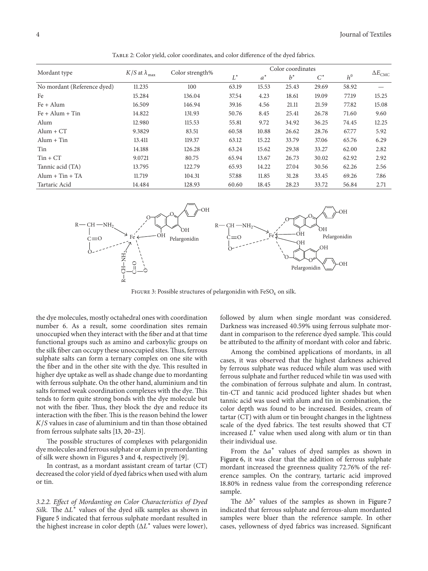| Mordant type                |                                 |                 |       |       |       |       |       |                           |
|-----------------------------|---------------------------------|-----------------|-------|-------|-------|-------|-------|---------------------------|
|                             | $K/S$ at $\lambda_{\text{max}}$ | Color strength% | $L^*$ | $a^*$ | $b^*$ | $C^*$ | $h^0$ | $\Delta E_{\mathrm{CMC}}$ |
| No mordant (Reference dyed) | 11.235                          | 100             | 63.19 | 15.53 | 25.43 | 29.69 | 58.92 |                           |
| Fe                          | 15.284                          | 136.04          | 37.54 | 4.23  | 18.61 | 19.09 | 77.19 | 15.25                     |
| $Fe + Alum$                 | 16.509                          | 146.94          | 39.16 | 4.56  | 21.11 | 21.59 | 77.82 | 15.08                     |
| $Fe + Alum + Tin$           | 14.822                          | 131.93          | 50.76 | 8.45  | 25.41 | 26.78 | 71.60 | 9.60                      |
| Alum                        | 12.980                          | 115.53          | 55.81 | 9.72  | 34.92 | 36.25 | 74.45 | 12.25                     |
| $Alum + CT$                 | 9.3829                          | 83.51           | 60.58 | 10.88 | 26.62 | 28.76 | 67.77 | 5.92                      |
| $Alum + Tin$                | 13.411                          | 119.37          | 63.12 | 15.22 | 33.79 | 37.06 | 65.76 | 6.29                      |
| Tin                         | 14.188                          | 126.28          | 63.24 | 15.62 | 29.38 | 33.27 | 62.00 | 2.82                      |
| $T_{in}$ + $CT$             | 9.0721                          | 80.75           | 65.94 | 13.67 | 26.73 | 30.02 | 62.92 | 2.92                      |
| Tannic acid (TA)            | 13.795                          | 122.79          | 65.93 | 14.22 | 27.04 | 30.56 | 62.26 | 2.56                      |
| $Alum + Tin + TA$           | 11.719                          | 104.31          | 57.88 | 11.85 | 31.28 | 33.45 | 69.26 | 7.86                      |
| Tartaric Acid               | 14.484                          | 128.93          | 60.60 | 18.45 | 28.23 | 33.72 | 56.84 | 2.71                      |

Table 2: Color yield, color coordinates, and color difference of the dyed fabrics.



FIGURE 3: Possible structures of pelargonidin with  $\text{FeSO}_4$  on silk.

the dye molecules, mostly octahedral ones with coordination number 6. As a result, some coordination sites remain unoccupied when they interact with the fiber and at that time functional groups such as amino and carboxylic groups on the silk fiber can occupy these unoccupied sites.Thus, ferrous sulphate salts can form a ternary complex on one site with the fiber and in the other site with the dye. This resulted in higher dye uptake as well as shade change due to mordanting with ferrous sulphate. On the other hand, aluminium and tin salts formed weak coordination complexes with the dye. This tends to form quite strong bonds with the dye molecule but not with the fiber. Thus, they block the dye and reduce its interaction with the fiber. This is the reason behind the lower  $K/S$  values in case of aluminium and tin than those obtained from ferrous sulphate salts [13, 20–23].

The possible structures of complexes with pelargonidin dye molecules and ferrous sulphate or alum in premordanting of silk were shown in Figures 3 and 4, respectively [9].

In contrast, as a mordant assistant cream of tartar (CT) decreased the color yield of dyed fabrics when used with alum or tin.

*3.2.2. Effect of Mordanting on Color Characteristics of Dyed Silk*. The ΔL<sup>\*</sup> values of the dyed silk samples as shown in Figure 5 indicated that ferrous sulphate mordant resulted in the highest increase in color depth  $(\Delta L^*$  values were lower), followed by alum when single mordant was considered. Darkness was increased 40.59% using ferrous sulphate mordant in comparison to the reference dyed sample. This could be attributed to the affinity of mordant with color and fabric.

Among the combined applications of mordants, in all cases, it was observed that the highest darkness achieved by ferrous sulphate was reduced while alum was used with ferrous sulphate and further reduced while tin was used with the combination of ferrous sulphate and alum. In contrast, tin-CT and tannic acid produced lighter shades but when tannic acid was used with alum and tin in combination, the color depth was found to be increased. Besides, cream of tartar (CT) with alum or tin brought changes in the lightness scale of the dyed fabrics. The test results showed that CT increased  $L^*$  value when used along with alum or tin than their individual use.

From the  $\Delta a^*$  values of dyed samples as shown in Figure 6, it was clear that the addition of ferrous sulphate mordant increased the greenness quality 72.76% of the reference samples. On the contrary, tartaric acid improved 18.80% in redness value from the corresponding reference sample.

The  $\Delta b^*$  values of the samples as shown in Figure 7 indicated that ferrous sulphate and ferrous-alum mordanted samples were bluer than the reference sample. In other cases, yellowness of dyed fabrics was increased. Significant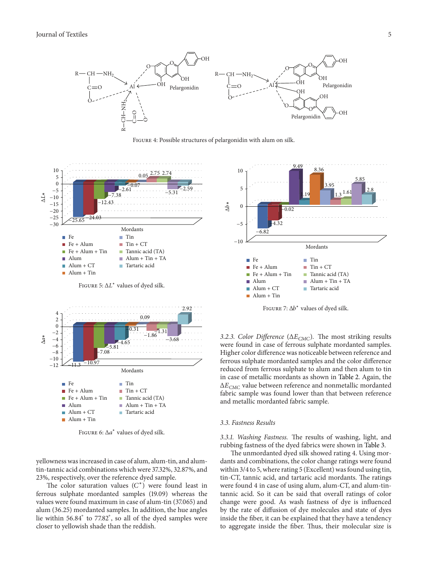

Figure 4: Possible structures of pelargonidin with alum on silk.



FIGURE 6:  $\Delta a^*$  values of dyed silk.

yellowness was increased in case of alum, alum-tin, and alumtin-tannic acid combinations which were 37.32%, 32.87%, and 23%, respectively, over the reference dyed sample.

The color saturation values  $(C^*)$  were found least in ferrous sulphate mordanted samples (19.09) whereas the values were found maximum in case of alum-tin (37.065) and alum (36.25) mordanted samples. In addition, the hue angles lie within 56.84<sup>∘</sup> to 77.82<sup>∘</sup> , so all of the dyed samples were closer to yellowish shade than the reddish.



FIGURE 7:  $\Delta b^*$  values of dyed silk.

*3.2.3. Color Difference* ( $\Delta E$ <sub>*CMC</sub>*). The most striking results</sub> were found in case of ferrous sulphate mordanted samples. Higher color difference was noticeable between reference and ferrous sulphate mordanted samples and the color difference reduced from ferrous sulphate to alum and then alum to tin in case of metallic mordants as shown in Table 2. Again, the  $\Delta E_{CMC}$  value between reference and nonmetallic mordanted fabric sample was found lower than that between reference and metallic mordanted fabric sample.

#### *3.3. Fastness Results*

*3.3.1. Washing Fastness.* The results of washing, light, and rubbing fastness of the dyed fabrics were shown in Table 3.

The unmordanted dyed silk showed rating 4. Using mordants and combinations, the color change ratings were found within 3/4 to 5, where rating 5 (Excellent) was found using tin, tin-CT, tannic acid, and tartaric acid mordants. The ratings were found 4 in case of using alum, alum-CT, and alum-tintannic acid. So it can be said that overall ratings of color change were good. As wash fastness of dye is influenced by the rate of diffusion of dye molecules and state of dyes inside the fiber, it can be explained that they have a tendency to aggregate inside the fiber. Thus, their molecular size is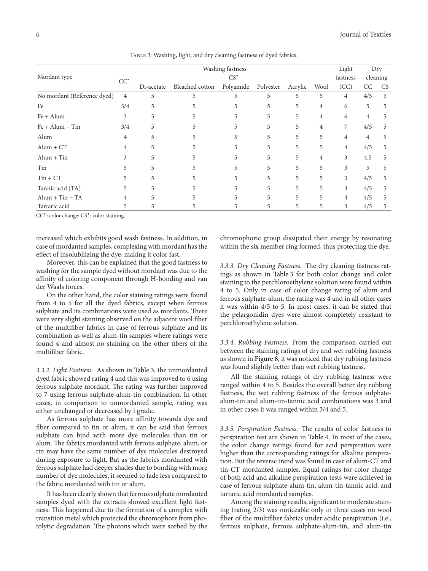|                             |        |            | Light           | Dry<br>cleaning |           |         |                |                |     |           |
|-----------------------------|--------|------------|-----------------|-----------------|-----------|---------|----------------|----------------|-----|-----------|
| Mordant type                | $CC^*$ |            | fastness        |                 |           |         |                |                |     |           |
|                             |        | Di-acetate | Bleached cotton | Polyamide       | Polyester | Acrylic | Wool           | (CC)           | CC  | <b>CS</b> |
| No mordant (Reference dyed) | 4      | 5          | 5               | 5               | 5         | 5       | 5              | $\overline{4}$ | 4/5 | 5         |
| Fe                          | 3/4    | 5          | 5               |                 | 5         | 5       | 4              | 6              | 5   | 5         |
| $Fe + Alum$                 | 3      | 5          | 5.              | 5               | 5         | 5       | 4              | 6              | 4   | 5         |
| $Fe + Alum + Tin$           | 3/4    | 5          | 5               | C.              | 5         | 5       | 4              | 7              | 4/5 | 5         |
| Alum                        | 4      | 5          | 5               | 5               | 5         | 5       | 5              | 4              | 4   | 5         |
| $Alum + CT$                 | 4      | 5          | 5               | 5               | 5         | 5       | 5              | $\overline{4}$ | 4/5 | 5         |
| $Alum + Tin$                | 3      | 5          |                 |                 | 5         | 5       | $\overline{4}$ | 3              | 4.5 | 5         |
| Tin                         | 5      | 5          | 5               |                 | 5         | 5       | 5              | 3              | 5   | 5         |
| $T$ in + $CT$               | 5      | 5          | 5               | C.              | 5         | 5       | 5              | 3              | 4/5 | 5         |
| Tannic acid (TA)            | 5      | 5          | 5               |                 | 5         | 5       | 5              | 3              | 4/5 | 5         |
| $Alum + Tin + TA$           |        |            |                 |                 |           | 5       |                | $\overline{4}$ | 4/5 | 5         |
| Tartaric acid               | 5.     | 5          | 5               | C.              | 5         | 5       | 5              | 3              | 4/5 | 5         |

TABLE 3: Washing, light, and dry cleaning fastness of dyed fabrics.

CC∗: color change; CS∗: color staining.

increased which exhibits good wash fastness. In addition, in case of mordanted samples, complexing with mordant has the effect of insolubilizing the dye, making it color fast.

Moreover, this can be explained that the good fastness to washing for the sample dyed without mordant was due to the affinity of coloring component through H-bonding and van der Waals forces.

On the other hand, the color staining ratings were found from 4 to 5 for all the dyed fabrics, except when ferrous sulphate and its combinations were used as mordants. There were very slight staining observed on the adjacent wool fiber of the multifiber fabrics in case of ferrous sulphate and its combination as well as alum-tin samples where ratings were found 4 and almost no staining on the other fibers of the multifiber fabric.

*3.3.2. Light Fastness.* As shown in Table 3, the unmordanted dyed fabric showed rating 4 and this was improved to 6 using ferrous sulphate mordant. The rating was further improved to 7 using ferrous sulphate-alum-tin combination. In other cases, in comparison to unmordanted sample, rating was either unchanged or decreased by 1 grade.

As ferrous sulphate has more affinity towards dye and fiber compared to tin or alum, it can be said that ferrous sulphate can bind with more dye molecules than tin or alum. The fabrics mordanted with ferrous sulphate, alum, or tin may have the same number of dye molecules destroyed during exposure to light. But as the fabrics mordanted with ferrous sulphate had deeper shades due to bonding with more number of dye molecules, it seemed to fade less compared to the fabric mordanted with tin or alum.

It has been clearly shown that ferrous sulphate mordanted samples dyed with the extracts showed excellent light fastness. This happened due to the formation of a complex with transition metal which protected the chromophore from photolytic degradation. The photons which were sorbed by the chromophoric group dissipated their energy by resonating within the six member ring formed, thus protecting the dye.

*3.3.3. Dry Cleaning Fastness.* The dry cleaning fastness ratings as shown in Table 3 for both color change and color staining to the perchloroethylene solution were found within 4 to 5. Only in case of color change rating of alum and ferrous sulphate-alum, the rating was 4 and in all other cases it was within 4/5 to 5. In most cases, it can be stated that the pelargonidin dyes were almost completely resistant to perchloroethylene solution.

*3.3.4. Rubbing Fastness.* From the comparison carried out between the staining ratings of dry and wet rubbing fastness as shown in Figure 8, it was noticed that dry rubbing fastness was found slightly better than wet rubbing fastness.

All the staining ratings of dry rubbing fastness were ranged within 4 to 5. Besides the overall better dry rubbing fastness, the wet rubbing fastness of the ferrous sulphatealum-tin and alum-tin-tannic acid combinations was 3 and in other cases it was ranged within 3/4 and 5.

*3.3.5. Perspiration Fastness.* The results of color fastness to perspiration test are shown in Table 4. In most of the cases, the color change ratings found for acid perspiration were higher than the corresponding ratings for alkaline perspiration. But the reverse trend was found in case of alum-CT and tin-CT mordanted samples. Equal ratings for color change of both acid and alkaline perspiration tests were achieved in case of ferrous sulphate-alum-tin, alum-tin-tannic acid, and tartaric acid mordanted samples.

Among the staining results, significant to moderate staining (rating 2/3) was noticeable only in three cases on wool fiber of the multifiber fabrics under acidic perspiration (i.e., ferrous sulphate, ferrous sulphate-alum-tin, and alum-tin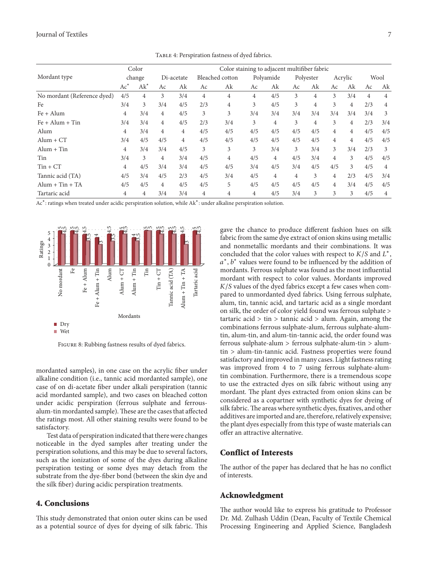|                             | Color  |                |                |                | Color staining to adjacent multifiber fabric |                |                |                |           |     |         |                |      |                |
|-----------------------------|--------|----------------|----------------|----------------|----------------------------------------------|----------------|----------------|----------------|-----------|-----|---------|----------------|------|----------------|
| Mordant type                | change |                | Di-acetate     |                | Bleached cotton                              |                | Polyamide      |                | Polyester |     | Acrylic |                | Wool |                |
|                             | $Ac^*$ | $Ak^*$         | Ac             | Ak             | Ac                                           | Ak             | Ac             | Ak             | Ac        | Ak  | Ac      | Ak             | Ac   | Ak             |
| No mordant (Reference dyed) | 4/5    | 4              | 3              | 3/4            | $\overline{4}$                               | 4              | 4              | 4/5            | 3         | 4   | 3       | 3/4            | 4    | $\overline{4}$ |
| Fe                          | 3/4    | 3              | 3/4            | 4/5            | 2/3                                          | $\overline{4}$ | 3              | 4/5            | 3         | 4   | 3       | $\overline{4}$ | 2/3  | 4              |
| $Fe + Alum$                 | 4      | 3/4            | $\overline{4}$ | 4/5            | 3                                            | 3              | 3/4            | 3/4            | 3/4       | 3/4 | 3/4     | 3/4            | 3/4  | 3              |
| $Fe + Alum + Tin$           | 3/4    | 3/4            | 4              | 4/5            | 2/3                                          | 3/4            | 3              | $\overline{4}$ | 3         | 4   | 3       | $\overline{4}$ | 2/3  | 3/4            |
| Alum                        | 4      | 3/4            | 4              | $\overline{4}$ | 4/5                                          | 4/5            | 4/5            | 4/5            | 4/5       | 4/5 | 4       | $\overline{4}$ | 4/5  | 4/5            |
| $Alum + CT$                 | 3/4    | 4/5            | 4/5            | 4              | 4/5                                          | 4/5            | 4/5            | 4/5            | 4/5       | 4/5 | 4       | $\overline{4}$ | 4/5  | 4/5            |
| $Alum + Tin$                | 4      | 3/4            | 3/4            | 4/5            | 3                                            | 3              | 3              | 3/4            | 3         | 3/4 | 3       | 3/4            | 2/3  | 3              |
| Tin                         | 3/4    | 3              | 4              | 3/4            | 4/5                                          | $\overline{4}$ | 4/5            | $\overline{4}$ | 4/5       | 3/4 | 4       | 3              | 4/5  | 4/5            |
| $T$ in + $CT$               | 4      | 4/5            | 3/4            | 3/4            | 4/5                                          | 4/5            | 3/4            | 4/5            | 3/4       | 4/5 | 4/5     | 3              | 4/5  | 4              |
| Tannic acid (TA)            | 4/5    | 3/4            | 4/5            | 2/3            | 4/5                                          | 3/4            | 4/5            | $\overline{4}$ | 4         | 3   | 4       | 2/3            | 4/5  | 3/4            |
| $Alum + Tin + TA$           | 4/5    | 4/5            | 4              | 4/5            | 4/5                                          | 5              | 4/5            | 4/5            | 4/5       | 4/5 | 4       | 3/4            | 4/5  | 4/5            |
| Tartaric acid               | 4      | $\overline{4}$ | 3/4            | 3/4            | $\overline{4}$                               | $\overline{4}$ | $\overline{4}$ | 4/5            | 3/4       | 3   | 3       | 3              | 4/5  | 4              |

Table 4: Perspiration fastness of dyed fabrics.

Ac∗: ratings when treated under acidic perspiration solution, while Ak∗: under alkaline perspiration solution.



Figure 8: Rubbing fastness results of dyed fabrics.

mordanted samples), in one case on the acrylic fiber under alkaline condition (i.e., tannic acid mordanted sample), one case of on di-acetate fiber under alkali perspiration (tannic acid mordanted sample), and two cases on bleached cotton under acidic perspiration (ferrous sulphate and ferrousalum-tin mordanted sample). These are the cases that affected the ratings most. All other staining results were found to be satisfactory.

Test data of perspiration indicated that there were changes noticeable in the dyed samples after treating under the perspiration solutions, and this may be due to several factors, such as the ionization of some of the dyes during alkaline perspiration testing or some dyes may detach from the substrate from the dye-fiber bond (between the skin dye and the silk fiber) during acidic perspiration treatments.

## **4. Conclusions**

This study demonstrated that onion outer skins can be used as a potential source of dyes for dyeing of silk fabric. This gave the chance to produce different fashion hues on silk fabric from the same dye extract of onion skins using metallic and nonmetallic mordants and their combinations. It was concluded that the color values with respect to  $K/S$  and  $L^*$ ,  $a^*$ ,  $b^*$  values were found to be influenced by the addition of mordants. Ferrous sulphate was found as the most influential mordant with respect to color values. Mordants improved  $K/S$  values of the dyed fabrics except a few cases when compared to unmordanted dyed fabrics. Using ferrous sulphate, alum, tin, tannic acid, and tartaric acid as a single mordant on silk, the order of color yield found was ferrous sulphate > tartaric acid  $> \text{tin} > \text{tannic acid} > \text{alum}$ . Again, among the combinations ferrous sulphate-alum, ferrous sulphate-alumtin, alum-tin, and alum-tin-tannic acid, the order found was ferrous sulphate-alum > ferrous sulphate-alum-tin > alumtin > alum-tin-tannic acid. Fastness properties were found satisfactory and improved in many cases. Light fastness rating was improved from 4 to 7 using ferrous sulphate-alumtin combination. Furthermore, there is a tremendous scope to use the extracted dyes on silk fabric without using any mordant. The plant dyes extracted from onion skins can be considered as a copartner with synthetic dyes for dyeing of silk fabric.The areas where synthetic dyes, fixatives, and other additives are imported and are, therefore, relatively expensive; the plant dyes especially from this type of waste materials can offer an attractive alternative.

#### **Conflict of Interests**

The author of the paper has declared that he has no conflict of interests.

# **Acknowledgment**

The author would like to express his gratitude to Professor Dr. Md. Zulhash Uddin (Dean, Faculty of Textile Chemical Processing Engineering and Applied Science, Bangladesh